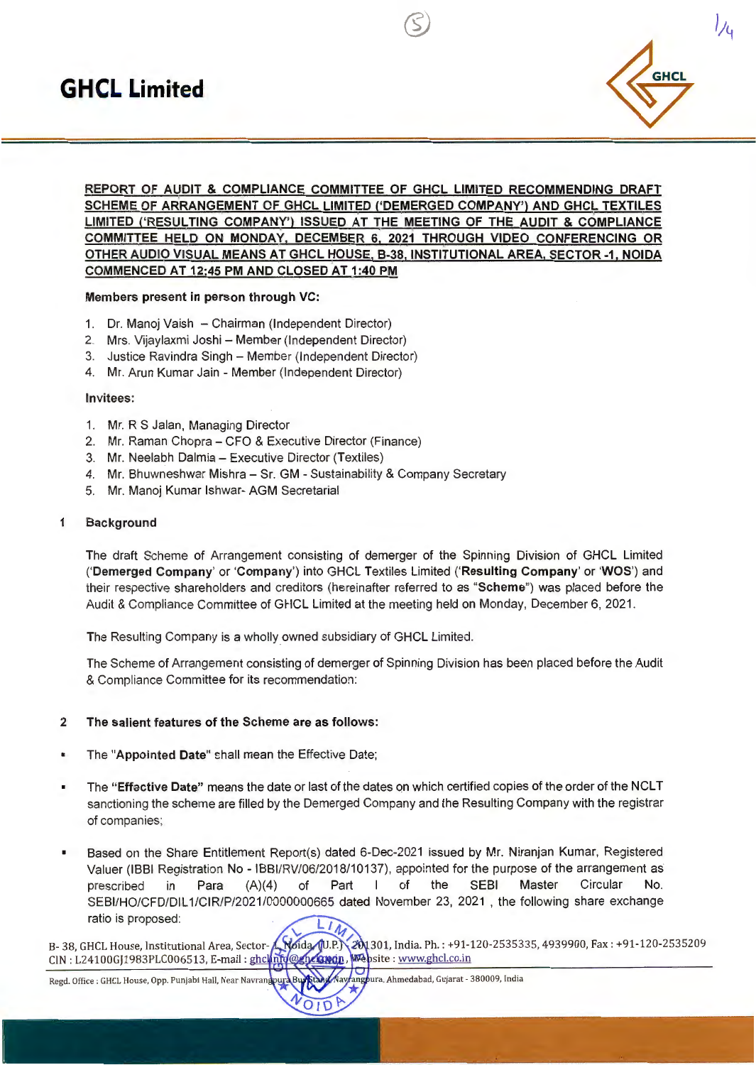

};~

# REPORT OF AUDIT & COMPLIANCE COMMITTEE OF GHCL LIMITED RECOMMENDING DRAFT SCHEME OF ARRANGEMENT OF GHCL LIMITED ('DEMERGED COMPANY') AND GHCL TEXTILES LIMITED ('RESULTING COMPANY') ISSUED AT THE MEETING OF THE AUDIT & COMPLIANCE COMMITTEE HELD ON MONDAY, DECEMBER 6, 2021 THROUGH VIDEO CONFERENCING OR OTHER AUDIO VISUAL MEANS AT GHCL HOUSE, B-38, INSTITUTIONAL AREA, SECTOR-1, NOIDA COMMENCED AT 12:45 PM AND CLOSED AT 1:40 PM

G)

## Members present in person through VC:

- 1. Dr. Manoj Vaish Chairman (Independent Director)
- 2. Mrs. Vijaylaxmi Joshi Member (Independent Director)
- 3. Justice Ravindra Singh Member (Independent Director)
- 4. Mr. Arun Kumar Jain Member (Independent Director)

#### Invitees:

- 1. Mr. R S Jalan, Managing Director
- 2. Mr. Raman Chopra CFO & Executive Director (Finance)
- 3. Mr. Neelabh Dalmia Executive Director (Textiles)
- 4. Mr. Bhuwneshwar Mishra Sr. GM Sustainability & Company Secretary
- 5. Mr. Manoj Kumar lshwar- AGM Secretarial

## 1 Background

The draft Scheme of Arrangement consisting of demerger of the Spinning Division of GHCL Limited ('Demerged Company' or 'Company') into GHCL Textiles Limited ('Resulting Company' or 'WOS') and their respective shareholders and creditors (hereinafter referred to as "Scheme") was placed before the Audit & Compliance Committee of GHCL Limited at the meeting held on Monday, December 6, 2021 .

The Resulting Company is a wholly owned subsidiary of GHCL Limited.

The Scheme of Arrangement consisting of demerger of Spinning Division has been placed before the Audit & Compliance Committee for its recommendation:

## 2 The salient features of the Scheme are as follows:

- The "Appointed Date" shall mean the Effective Date;
- The "Effective Date" means the date or last of the dates on which certified copies of the order of the NCLT sanctioning the scheme are filled by the Demerged Company and the Resulting Company with the registrar of companies;
- Based on the Share Entitlement Report(s) dated 6-Dec-2021 issued by Mr. Niranjan Kumar, Registered Valuer (IBBI Registration No - IBBl/RV/06/2018/10137), appointed for the purpose of the arrangement as prescribed in Para (A)(4) of Part I of the SEBI Master Circular No. SEBl/HO/CFD/DIL 1/CIR/P/2021/0000000665 dated November 23, 2021 , the following share exchange ratio is proposed:

B- 38, GHCL House, Institutional Area, Sector-A, Noida (U.P.) CIN : L24100GJ1983PLC006513, E-mail : ghclinfo@ghclapgn, Website : www.ghcl.co.in 301, India. Ph. : +91-120-2535335, 4939900, Fax : +91-120-2535209

Regd. Office : GHCL House, Opp. Punjabi Hall, Near Navrang

ungpura, Ahmedabad, Gujarat - 380009, India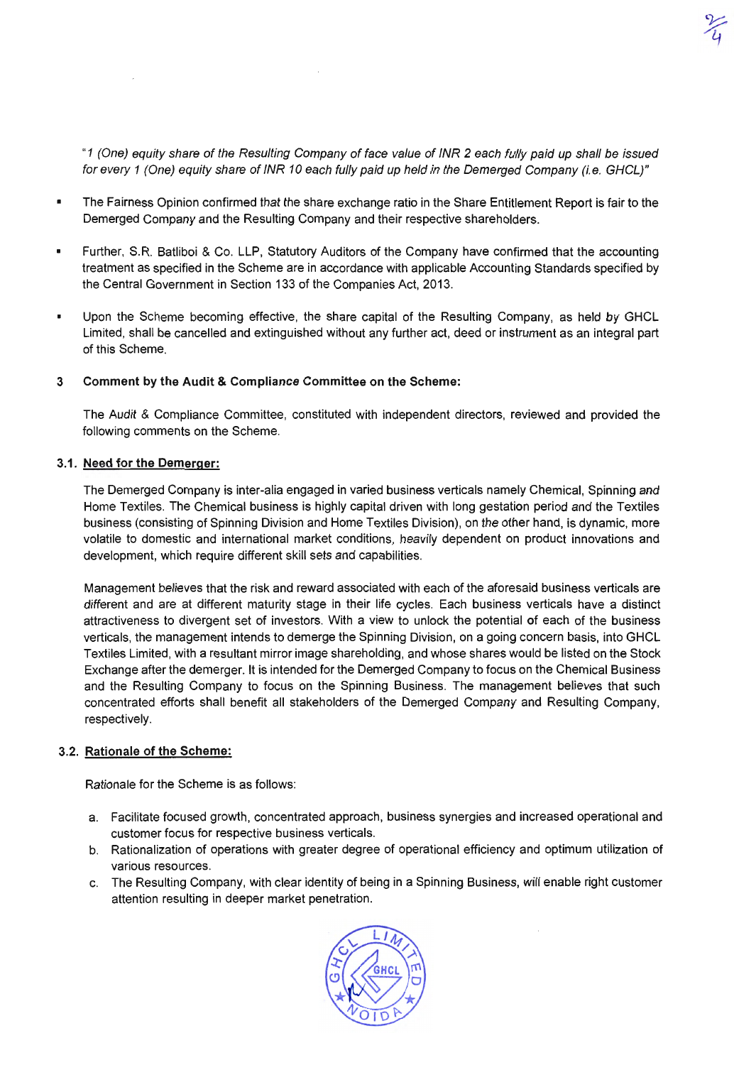"1 (One) equity share of the Resulting Company of face value of INR 2 each fully paid up shall be issued for every 1 (One) equity share of INR 10 each fully paid up held in the Demerged Company (i.e. GHCL)"

J<- *4* 

- The Fairness Opinion confirmed that the share exchange ratio in the Share Entitlement Report is fair to the Demerged Company and the Resulting Company and their respective shareholders.
- Further, S.R. Batliboi & Co. LLP, Statutory Auditors of the Company have confirmed that the accounting  $\blacksquare$ treatment as specified in the Scheme are in accordance with applicable Accounting Standards specified by the Central Government in Section 133 of the Companies Act, 2013.
- Upon the Scheme becoming effective, the share capital of the Resulting Company, as held by GHCL Limited, shall be cancelled and extinguished without any further act, deed or instrument as an integral part of this Scheme.

## 3 Comment by the Audit & Compliance Committee on the Scheme:

The Audit & Compliance Committee, constituted with independent directors, reviewed and provided the following comments on the Scheme.

## 3.1. Need for the Demerger:

The Demerged Company is inter-alia engaged in varied business verticals namely Chemical, Spinning and Home Textiles. The Chemical business is highly capital driven with long gestation period and the Textiles business (consisting of Spinning Division and Home Textiles Division), on the other hand, is dynamic, more volatile to domestic and international market conditions, heavily dependent on product innovations and development, which require different skill sets and capabilities.

Management believes that the risk and reward associated with each of the aforesaid business verticals are different and are at different maturity stage in their life cycles. Each business verticals have a distinct attractiveness to divergent set of investors. With a view to unlock the potential of each of the business verticals, the management intends to demerge the Spinning Division, on a going concern basis, into GHCL Textiles Limited, with a resultant mirror image shareholding, and whose shares would be listed on the Stock Exchange after the demerger. It is intended for the Demerged Company to focus on the Chemical Business and the Resulting Company to focus on the Spinning Business. The management believes that such concentrated efforts shall benefit all stakeholders of the Demerged Company and Resulting Company, respectively.

## 3.2. Rationale of the Scheme:

Rationale for the Scheme is as follows:

- a. Facilitate focused growth, concentrated approach, business synergies and increased operational and customer focus for respective business verticals.
- b. Rationalization of operations with greater degree of operational efficiency and optimum utilization of various resources.
- c. The Resulting Company, with clear identity of being in a Spinning Business, will enable right customer attention resulting in deeper market penetration.

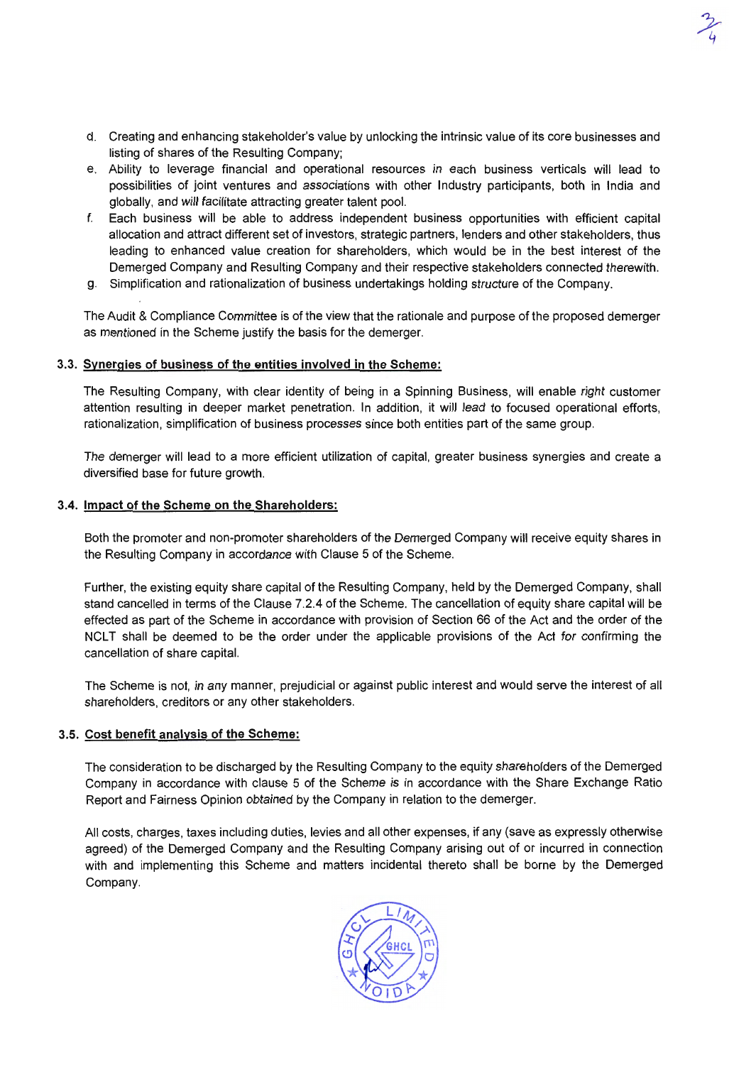d. Creating and enhancing stakeholder's value by unlocking the intrinsic value of its core businesses and listing of shares of the Resulting Company;

~

- e. Ability to leverage financial and operational resources in each business verticals will lead to possibilities of joint ventures and associations with other Industry participants, both in India and globally, and will facilitate attracting greater talent pool.
- f. Each business will be able to address independent business opportunities with efficient capital allocation and attract different set of investors, strategic partners, lenders and other stakeholders, thus leading to enhanced value creation for shareholders, which would be in the best interest of the Demerged Company and Resulting Company and their respective stakeholders connected therewith.
- g. Simplification and rationalization of business undertakings holding structure of the Company.

The Audit & Compliance Committee is of the view that the rationale and purpose of the proposed demerger as mentioned in the Scheme justify the basis for the demerger.

#### 3.3. Synergies of business of the entities involved in the Scheme:

The Resulting Company, with clear identity of being in a Spinning Business, will enable right customer attention resulting in deeper market penetration. In addition, it will lead to focused operational efforts, rationalization, simplification of business processes since both entities part of the same group.

The demerger will lead to a more efficient utilization of capital, greater business synergies and create a diversified base for future growth.

#### 3.4. Impact of the Scheme on the Shareholders:

Both the promoter and non-promoter shareholders of the Demerged Company will receive equity shares in the Resulting Company in accordance with Clause 5 of the Scheme.

Further, the existing equity share capital of the Resulting Company, held by the Demerged Company, shall stand cancelled in terms of the Clause 7.2.4 of the Scheme. The cancellation of equity share capital will be effected as part of the Scheme in accordance with provision of Section 66 of the Act and the order of the NCLT shall be deemed to be the order under the applicable provisions of the Act for confirming the cancellation of share capital.

The Scheme is not, in any manner, prejudicial or against public interest and would serve the interest of all shareholders, creditors or any other stakeholders.

#### 3.5. Cost benefit analysis of the Scheme:

The consideration to be discharged by the Resulting Company to the equity shareholders of the Demerged Company in accordance with clause 5 of the Scheme is in accordance with the Share Exchange Ratio Report and Fairness Opinion obtained by the Company in relation to the demerger.

All costs, charges, taxes including duties, levies and all other expenses, if any (save as expressly otherwise agreed) of the Demerged Company and the Resulting Company arising out of or incurred in connection with and implementing this Scheme and matters incidental thereto shall be borne by the Demerged Company.